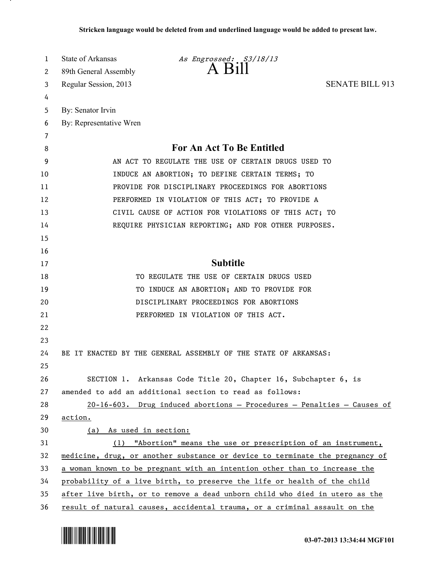| 1  | State of Arkansas<br>As Engrossed: S3/18/13                                  |
|----|------------------------------------------------------------------------------|
| 2  | A Bill<br>89th General Assembly                                              |
| 3  | <b>SENATE BILL 913</b><br>Regular Session, 2013                              |
| 4  |                                                                              |
| 5  | By: Senator Irvin                                                            |
| 6  | By: Representative Wren                                                      |
| 7  |                                                                              |
| 8  | For An Act To Be Entitled                                                    |
| 9  | AN ACT TO REGULATE THE USE OF CERTAIN DRUGS USED TO                          |
| 10 | INDUCE AN ABORTION; TO DEFINE CERTAIN TERMS; TO                              |
| 11 | PROVIDE FOR DISCIPLINARY PROCEEDINGS FOR ABORTIONS                           |
| 12 | PERFORMED IN VIOLATION OF THIS ACT; TO PROVIDE A                             |
| 13 | CIVIL CAUSE OF ACTION FOR VIOLATIONS OF THIS ACT; TO                         |
| 14 | REQUIRE PHYSICIAN REPORTING; AND FOR OTHER PURPOSES.                         |
| 15 |                                                                              |
| 16 |                                                                              |
| 17 | <b>Subtitle</b>                                                              |
| 18 | TO REGULATE THE USE OF CERTAIN DRUGS USED                                    |
| 19 | TO INDUCE AN ABORTION; AND TO PROVIDE FOR                                    |
| 20 | DISCIPLINARY PROCEEDINGS FOR ABORTIONS                                       |
| 21 | PERFORMED IN VIOLATION OF THIS ACT.                                          |
| 22 |                                                                              |
| 23 |                                                                              |
| 24 | BE IT ENACTED BY THE GENERAL ASSEMBLY OF THE STATE OF ARKANSAS:              |
| 25 |                                                                              |
| 26 | SECTION 1. Arkansas Code Title 20, Chapter 16, Subchapter 6, is              |
| 27 | amended to add an additional section to read as follows:                     |
| 28 | $20-16-603$ . Drug induced abortions - Procedures - Penalties - Causes of    |
| 29 | action.                                                                      |
| 30 | <u>As used in section:</u><br>(a)                                            |
| 31 | (1) "Abortion" means the use or prescription of an instrument,               |
| 32 | medicine, drug, or another substance or device to terminate the pregnancy of |
| 33 | a woman known to be pregnant with an intention other than to increase the    |
| 34 | probability of a live birth, to preserve the life or health of the child     |
| 35 | after live birth, or to remove a dead unborn child who died in utero as the  |
| 36 | result of natural causes, accidental trauma, or a criminal assault on the    |



.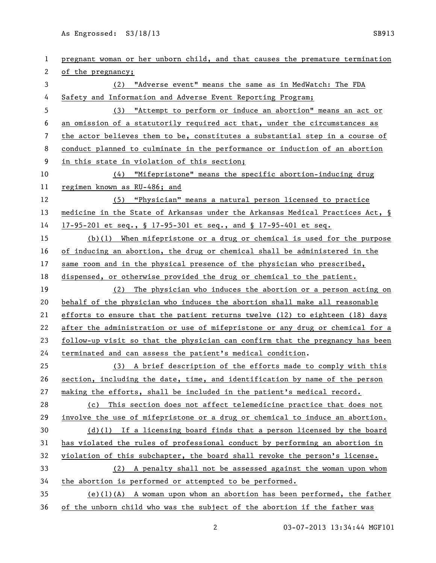As Engrossed: S3/18/13 SB913

| 1  | pregnant woman or her unborn child, and that causes the premature termination    |
|----|----------------------------------------------------------------------------------|
| 2  | of the pregnancy;                                                                |
| 3  | "Adverse event" means the same as in MedWatch: The FDA<br>(2)                    |
| 4  | Safety and Information and Adverse Event Reporting Program;                      |
| 5  | "Attempt to perform or induce an abortion" means an act or<br>(3)                |
| 6  | an omission of a statutorily required act that, under the circumstances as       |
| 7  | the actor believes them to be, constitutes a substantial step in a course of     |
| 8  | conduct planned to culminate in the performance or induction of an abortion      |
| 9  | in this state in violation of this section;                                      |
| 10 | (4) "Mifepristone" means the specific abortion-inducing drug                     |
| 11 | regimen known as RU-486; and                                                     |
| 12 | (5) "Physician" means a natural person licensed to practice                      |
| 13 | medicine in the State of Arkansas under the Arkansas Medical Practices Act, §    |
| 14 | 17-95-201 et seq., § 17-95-301 et seq., and § 17-95-401 et seq.                  |
| 15 | (b)(1) When mifepristone or a drug or chemical is used for the purpose           |
| 16 | of inducing an abortion, the drug or chemical shall be administered in the       |
| 17 | same room and in the physical presence of the physician who prescribed,          |
| 18 | dispensed, or otherwise provided the drug or chemical to the patient.            |
| 19 | The physician who induces the abortion or a person acting on<br>(2)              |
| 20 | behalf of the physician who induces the abortion shall make all reasonable       |
| 21 | efforts to ensure that the patient returns twelve $(12)$ to eighteen $(18)$ days |
| 22 | after the administration or use of mifepristone or any drug or chemical for a    |
| 23 | follow-up visit so that the physician can confirm that the pregnancy has been    |
| 24 | terminated and can assess the patient's medical condition.                       |
| 25 | (3) A brief description of the efforts made to comply with this                  |
| 26 | section, including the date, time, and identification by name of the person      |
| 27 | making the efforts, shall be included in the patient's medical record.           |
| 28 | This section does not affect telemedicine practice that does not<br>(c)          |
| 29 | involve the use of mifepristone or a drug or chemical to induce an abortion.     |
| 30 | $(d)(1)$ If a licensing board finds that a person licensed by the board          |
| 31 | has violated the rules of professional conduct by performing an abortion in      |
| 32 | violation of this subchapter, the board shall revoke the person's license.       |
|    |                                                                                  |
| 33 | (2) A penalty shall not be assessed against the woman upon whom                  |
| 34 | the abortion is performed or attempted to be performed.                          |
| 35 | $(e)(1)(A)$ A woman upon whom an abortion has been performed, the father         |

2 03-07-2013 13:34:44 MGF101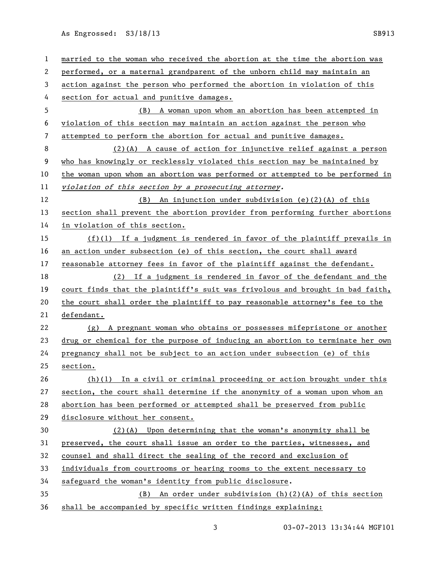As Engrossed: S3/18/13 SB913

| $\mathbf{1}$ | married to the woman who received the abortion at the time the abortion was   |
|--------------|-------------------------------------------------------------------------------|
| 2            | performed, or a maternal grandparent of the unborn child may maintain an      |
| 3            | action against the person who performed the abortion in violation of this     |
| 4            | section for actual and punitive damages.                                      |
| 5            | (B) A woman upon whom an abortion has been attempted in                       |
| 6            | violation of this section may maintain an action against the person who       |
| 7            | attempted to perform the abortion for actual and punitive damages.            |
| 8            | (2)(A) A cause of action for injunctive relief against a person               |
| 9            | who has knowingly or recklessly violated this section may be maintained by    |
| 10           | the woman upon whom an abortion was performed or attempted to be performed in |
| 11           | violation of this section by a prosecuting attorney.                          |
| 12           | (B) An injunction under subdivision (e)(2)(A) of this                         |
| 13           | section shall prevent the abortion provider from performing further abortions |
| 14           | in violation of this section.                                                 |
| 15           | $(f)(1)$ If a judgment is rendered in favor of the plaintiff prevails in      |
| 16           | an action under subsection (e) of this section, the court shall award         |
| 17           | reasonable attorney fees in favor of the plaintiff against the defendant.     |
| 18           | (2) If a judgment is rendered in favor of the defendant and the               |
| 19           | court finds that the plaintiff's suit was frivolous and brought in bad faith, |
| 20           | the court shall order the plaintiff to pay reasonable attorney's fee to the   |
| 21           | defendant.                                                                    |
| 22           | $(g)$ A pregnant woman who obtains or possesses mifepristone or another       |
| 23           | drug or chemical for the purpose of inducing an abortion to terminate her own |
| 24           | pregnancy shall not be subject to an action under subsection (e) of this      |
| 25           | section.                                                                      |
| 26           | $(h)(1)$ In a civil or criminal proceeding or action brought under this       |
| 27           | section, the court shall determine if the anonymity of a woman upon whom an   |
| 28           | abortion has been performed or attempted shall be preserved from public       |
| 29           | disclosure without her consent.                                               |
| 30           | $(2)$ (A) Upon determining that the woman's anonymity shall be                |
| 31           | preserved, the court shall issue an order to the parties, witnesses, and      |
| 32           | counsel and shall direct the sealing of the record and exclusion of           |
| 33           | individuals from courtrooms or hearing rooms to the extent necessary to       |
| 34           | safeguard the woman's identity from public disclosure.                        |
| 35           | (B) An order under subdivision $(h)(2)(A)$ of this section                    |
| 36           | shall be accompanied by specific written findings explaining:                 |

3 03-07-2013 13:34:44 MGF101